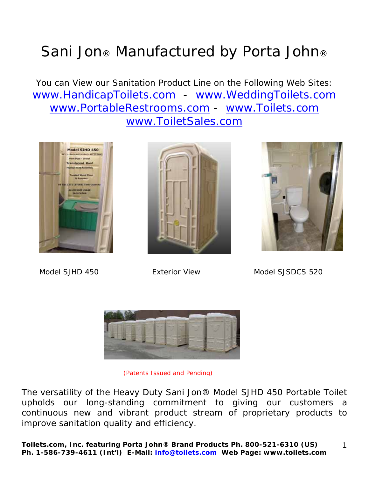## Sani Jon® Manufactured by Porta John®

You can View our Sanitation Product Line on the Following Web Sites: www.HandicapToilets.com - www.WeddingToilets.com www.PortableRestrooms.com - www.Toilets.com www.ToiletSales.com







Model SJHD 450 Exterior View Model SJSDCS 520



(Patents Issued and Pending)

The versatility of the Heavy Duty Sani Jon® Model SJHD 450 Portable Toilet upholds our long-standing commitment to giving our customers a continuous new and vibrant product stream of proprietary products to improve sanitation quality and efficiency.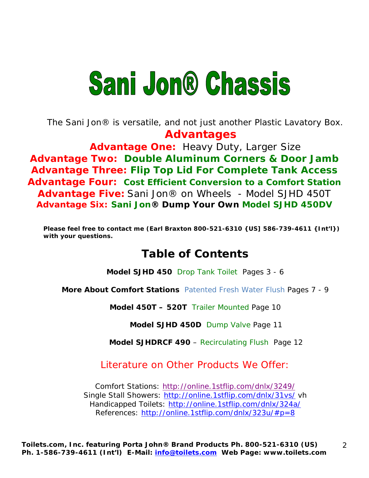# **Sani Jon® Chassis**

*The Sani Jon® is versatile, and not just another Plastic Lavatory Box.*   **Advantages** 

**Advantage One:** Heavy Duty, Larger Size **Advantage Two: Double Aluminum Corners & Door Jamb Advantage Three: Flip Top Lid For Complete Tank Access Advantage Four: Cost Efficient Conversion to a Comfort Station Advantage Five:** Sani Jon® on Wheels - Model SJHD 450T **Advantage Six: Sani Jon® Dump Your Own Model SJHD 450DV**

**Please feel free to contact me (Earl Braxton 800-521-6310 {US] 586-739-4611 {Int'l}) with your questions.** 

## **Table of Contents**

**Model SJHD 450** Drop Tank Toilet Pages 3 - 6

**More About Comfort Stations** Patented Fresh Water Flush Pages 7 - 9

**Model 450T – 520T** Trailer Mounted Page 10

**Model SJHD 450D** Dump Valve Page 11

**Model SJHDRCF 490** – Recirculating Flush Page 12

2

Literature on Other Products We Offer:

Comfort Stations: http://online.1stflip.com/dnlx/3249/ Single Stall Showers: http://online.1stflip.com/dnlx/31vs/ vh Handicapped Toilets: http://online.1stflip.com/dnlx/324a/ References: http://online.1stflip.com/dnlx/323u/#p=8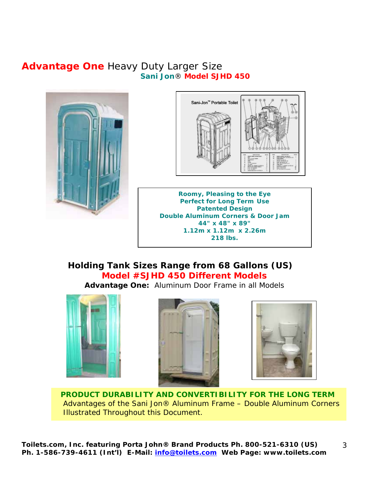### **Advantage One** Heavy Duty Larger Size **Sani Jon**® **Model SJHD 450**





**Roomy, Pleasing to the Eye Perfect for Long Term Use Patented Design Double Aluminum Corners & Door Jam 44" x 48" x 89" 1.12m x 1.12m x 2.26m 218 lbs.**

### **Holding Tank Sizes Range from 68 Gallons (US) Model #SJHD 450 Different Models**

**Advantage One:** Aluminum Door Frame in all Models







3

 **PRODUCT DURABILITY AND CONVERTIBILITY FOR THE LONG TERM** Advantages of the Sani Jon® Aluminum Frame – Double Aluminum Corners Illustrated Throughout this Document.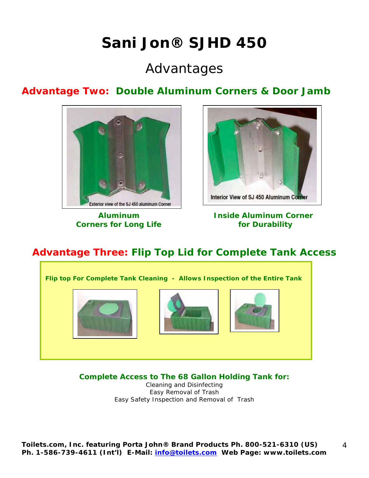## **Sani Jon® SJHD 450**

## Advantages

## **Advantage Two: Double Aluminum Corners & Door Jamb**



 **Corners for Long Life for Durability** 



## **Aluminum Inside Aluminum Corner**

4

## **Advantage Three: Flip Top Lid for Complete Tank Access**

**Flip top For Complete Tank Cleaning - Allows Inspection of the Entire Tank** 

**Complete Access to The 68 Gallon Holding Tank for:** 

Cleaning and Disinfecting Easy Removal of Trash Easy Safety Inspection and Removal of Trash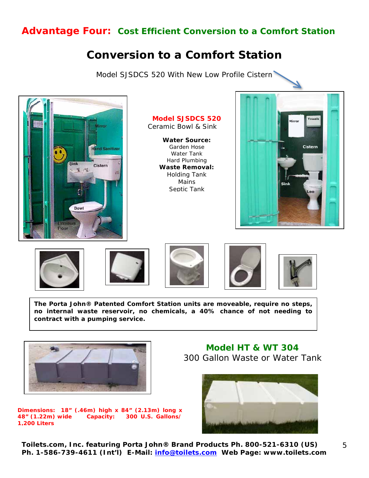### **Advantage Four: Cost Efficient Conversion to a Comfort Station**

## **Conversion to a Comfort Station**

Model SJSDCS 520 With New Low Profile Cistern



**Model SJSDCS 520**  Ceramic Bowl & Sink

**Water Source:**  Garden Hose Water Tank Hard Plumbing **Waste Removal:**  Holding Tank Mains Septic Tank













**The Porta John® Patented Comfort Station units are moveable, require no steps, no internal waste reservoir, no chemicals, a 40% chance of not needing to contract with a pumping service.** 



**Dimensions: 18" (.46m) high x 84" (2.13m) long x 48" (1.22m) wide Capacity: 300 U.S. Gallons/ 1,200 Liters** 

 **Model HT & WT 304**  300 Gallon Waste or Water Tank



**Toilets.com, Inc. featuring Porta John® Brand Products Ph. 800-521-6310 (US) Ph. 1-586-739-4611 (Int'l) E-Mail: info@toilets.com Web Page: www.toilets.com**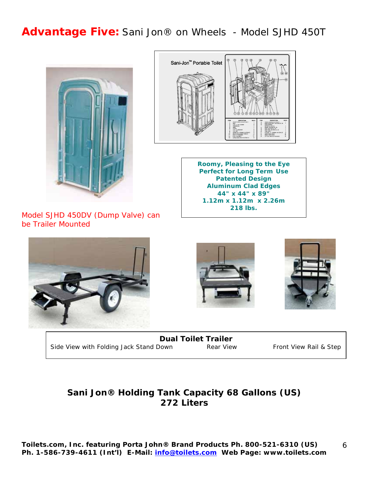## **Advantage Five:** Sani Jon® on Wheels - Model SJHD 450T





**Roomy, Pleasing to the Eye Perfect for Long Term Use Patented Design Aluminum Clad Edges 44" x 44" x 89" 1.12m x 1.12m x 2.26m 218 lbs.**

Model SJHD 450DV (Dump Valve) can be Trailer Mounted







**Dual Toilet Trailer**  Side View with Folding Jack Stand Down Rear View Front View Rail & Step

### **Sani Jon® Holding Tank Capacity 68 Gallons (US) 272 Liters**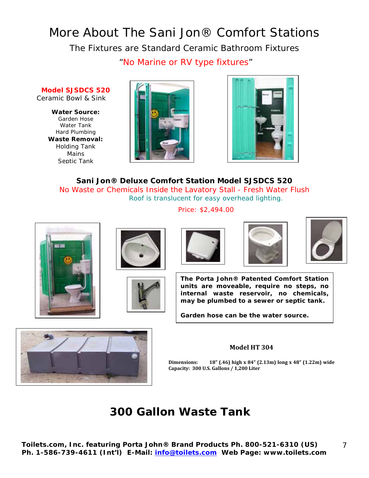## More About The Sani Jon® Comfort Stations

The Fixtures are Standard Ceramic Bathroom Fixtures

"No Marine or RV type fixtures"

**Model SJSDCS 520**  Ceramic Bowl & Sink

**Water Source:**  Garden Hose Water Tank Hard Plumbing **Waste Removal:**  Holding Tank Mains Septic Tank





**Sani Jon® Deluxe Comfort Station Model SJSDCS 520**  No Waste or Chemicals Inside the Lavatory Stall - Fresh Water Flush Roof is translucent for easy overhead lighting.

Price: \$2,494.00











**The Porta John® Patented Comfort Station units are moveable, require no steps, no internal waste reservoir, no chemicals, may be plumbed to a sewer or septic tank.** 

**Garden hose can be the water source.** 



#### **Model HT 304**

Dimensions: 18" (.46) high x 84" (2.13m) long x 48" (1.22m) wide Capacity: 300 U.S. Gallons / 1,200 Liter

## **300 Gallon Waste Tank**

**Toilets.com, Inc. featuring Porta John® Brand Products Ph. 800-521-6310 (US) Ph. 1-586-739-4611 (Int'l) E-Mail: info@toilets.com Web Page: www.toilets.com**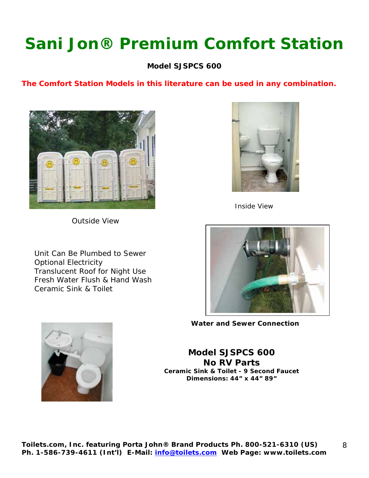## **Sani Jon® Premium Comfort Station**

**Model SJSPCS 600**

#### **The Comfort Station Models in this literature can be used in any combination.**



Inside View

Outside View

 Unit Can Be Plumbed to Sewer Optional Electricity Translucent Roof for Night Use Fresh Water Flush & Hand Wash Ceramic Sink & Toilet



**Water and Sewer Connection**

**Model SJSPCS 600 No RV Parts Ceramic Sink & Toilet - 9 Second Faucet Dimensions: 44" x 44" 89"**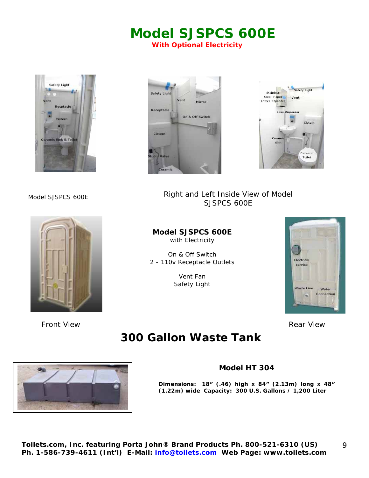## **Model SJSPCS 600E**

**With Optional Electricity** 









Model SJSPCS 600E **Right and Left Inside View of Model** SJSPCS 600E

#### **Model SJSPCS 600E**  with Electricity

On & Off Switch 2 - 110v Receptacle Outlets

> Vent Fan Safety Light



**Front View 2008 Controller Controller Controller Controller Controller Controller Controller Controller Controller Controller Controller Controller Controller Controller Controller Controller Controller Controller Control** 

## **300 Gallon Waste Tank**





#### **Model HT 304**

**Dimensions: 18" (.46) high x 84" (2.13m) long x 48" (1.22m) wide Capacity: 300 U.S. Gallons / 1,200 Liter**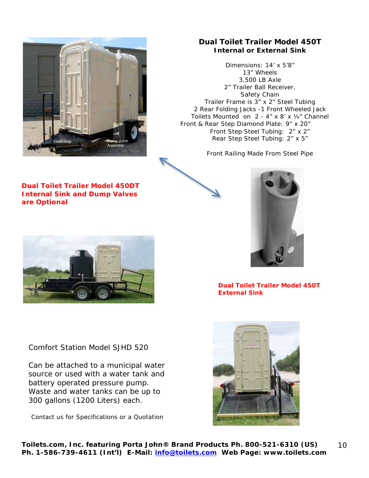

**Dual Toilet Trailer Model 450DT Internal Sink and Dump Valves are Optional** 

#### **Dual Toilet Trailer Model 450T Internal or External Sink**

Dimensions: 14' x 5'8" 13" Wheels 3,500 LB Axle 2" Trailer Ball Receiver, Safety Chain Trailer Frame is 3" x 2" Steel Tubing 2 Rear Folding Jacks -1 Front Wheeled Jack Toilets Mounted on 2 - 4" x 8' x ¼" Channel Front & Rear Step Diamond Plate: 9" x 20" Front Step Steel Tubing: 2" x 2" Rear Step Steel Tubing: 2" x 5"

Front Railing Made From Steel Pipe



**Dual Toilet Trailer Model 450T External Sink** 

Comfort Station Model SJHD 520

Can be attached to a municipal water source or used with a water tank and battery operated pressure pump. Waste and water tanks can be up to 300 gallons (1200 Liters) each.

Contact us for Specifications or a Quotation

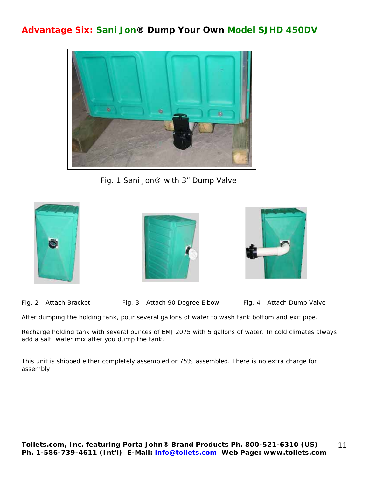### **Advantage Six: Sani Jon® Dump Your Own Model SJHD 450DV**



Fig. 1 Sani Jon® with 3" Dump Valve







Fig. 2 - Attach Bracket Fig. 3 - Attach 90 Degree Elbow Fig. 4 - Attach Dump Valve

After dumping the holding tank, pour several gallons of water to wash tank bottom and exit pipe.

Recharge holding tank with several ounces of EMJ 2075 with 5 gallons of water. In cold climates always add a salt water mix after you dump the tank.

This unit is shipped either completely assembled or 75% assembled. There is no extra charge for assembly.